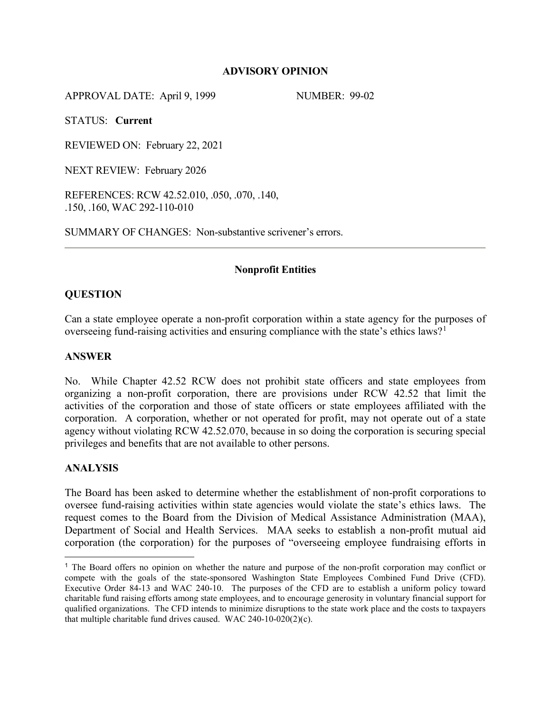### **ADVISORY OPINION**

APPROVAL DATE: April 9, 1999 NUMBER: 99-02

STATUS: **Current**

REVIEWED ON: February 22, 2021

NEXT REVIEW: February 2026

REFERENCES: RCW 42.52.010, .050, .070, .140, .150, .160, WAC 292-110-010

SUMMARY OF CHANGES: Non-substantive scrivener's errors.

# **Nonprofit Entities**

# **QUESTION**

Can a state employee operate a non-profit corporation within a state agency for the purposes of overseeing fund-raising activities and ensuring compliance with the state's ethics laws?<sup>[1](#page-0-0)</sup>

### **ANSWER**

No. While Chapter 42.52 RCW does not prohibit state officers and state employees from organizing a non-profit corporation, there are provisions under RCW 42.52 that limit the activities of the corporation and those of state officers or state employees affiliated with the corporation. A corporation, whether or not operated for profit, may not operate out of a state agency without violating RCW 42.52.070, because in so doing the corporation is securing special privileges and benefits that are not available to other persons.

### **ANALYSIS**

 $\overline{a}$ 

The Board has been asked to determine whether the establishment of non-profit corporations to oversee fund-raising activities within state agencies would violate the state's ethics laws. The request comes to the Board from the Division of Medical Assistance Administration (MAA), Department of Social and Health Services. MAA seeks to establish a non-profit mutual aid corporation (the corporation) for the purposes of "overseeing employee fundraising efforts in

<span id="page-0-0"></span><sup>1</sup> The Board offers no opinion on whether the nature and purpose of the non-profit corporation may conflict or compete with the goals of the state-sponsored Washington State Employees Combined Fund Drive (CFD). Executive Order 84-13 and WAC 240-10. The purposes of the CFD are to establish a uniform policy toward charitable fund raising efforts among state employees, and to encourage generosity in voluntary financial support for qualified organizations. The CFD intends to minimize disruptions to the state work place and the costs to taxpayers that multiple charitable fund drives caused. WAC 240-10-020(2)(c).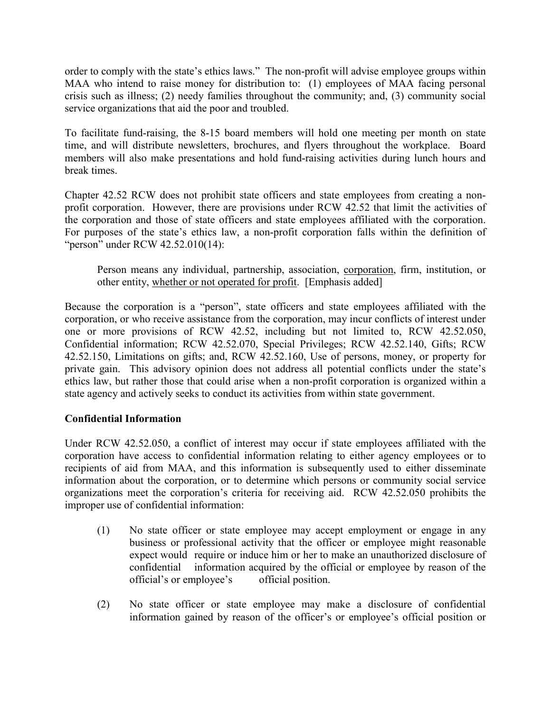order to comply with the state's ethics laws." The non-profit will advise employee groups within MAA who intend to raise money for distribution to: (1) employees of MAA facing personal crisis such as illness; (2) needy families throughout the community; and, (3) community social service organizations that aid the poor and troubled.

To facilitate fund-raising, the 8-15 board members will hold one meeting per month on state time, and will distribute newsletters, brochures, and flyers throughout the workplace. Board members will also make presentations and hold fund-raising activities during lunch hours and break times.

Chapter 42.52 RCW does not prohibit state officers and state employees from creating a nonprofit corporation. However, there are provisions under RCW 42.52 that limit the activities of the corporation and those of state officers and state employees affiliated with the corporation. For purposes of the state's ethics law, a non-profit corporation falls within the definition of "person" under RCW 42.52.010(14):

Person means any individual, partnership, association, corporation, firm, institution, or other entity, whether or not operated for profit. [Emphasis added]

Because the corporation is a "person", state officers and state employees affiliated with the corporation, or who receive assistance from the corporation, may incur conflicts of interest under one or more provisions of RCW 42.52, including but not limited to, RCW 42.52.050, Confidential information; RCW 42.52.070, Special Privileges; RCW 42.52.140, Gifts; RCW 42.52.150, Limitations on gifts; and, RCW 42.52.160, Use of persons, money, or property for private gain. This advisory opinion does not address all potential conflicts under the state's ethics law, but rather those that could arise when a non-profit corporation is organized within a state agency and actively seeks to conduct its activities from within state government.

# **Confidential Information**

Under RCW 42.52.050, a conflict of interest may occur if state employees affiliated with the corporation have access to confidential information relating to either agency employees or to recipients of aid from MAA, and this information is subsequently used to either disseminate information about the corporation, or to determine which persons or community social service organizations meet the corporation's criteria for receiving aid. RCW 42.52.050 prohibits the improper use of confidential information:

- (1) No state officer or state employee may accept employment or engage in any business or professional activity that the officer or employee might reasonable expect would require or induce him or her to make an unauthorized disclosure of confidential information acquired by the official or employee by reason of the official's or employee's official position.
- (2) No state officer or state employee may make a disclosure of confidential information gained by reason of the officer's or employee's official position or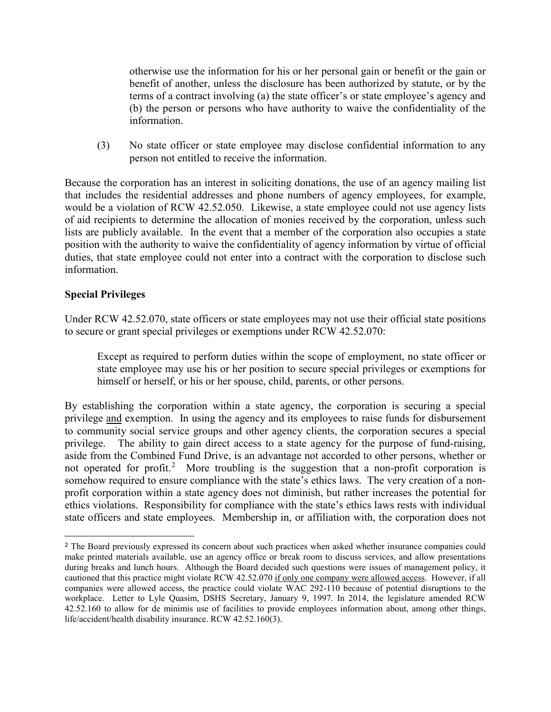otherwise use the information for his or her personal gain or benefit or the gain or benefit of another, unless the disclosure has been authorized by statute, or by the terms of a contract involving (a) the state officer's or state employee's agency and (b) the person or persons who have authority to waive the confidentiality of the information.

(3) No state officer or state employee may disclose confidential information to any person not entitled to receive the information.

Because the corporation has an interest in soliciting donations, the use of an agency mailing list that includes the residential addresses and phone numbers of agency employees, for example, would be a violation of RCW 42.52.050. Likewise, a state employee could not use agency lists of aid recipients to determine the allocation of monies received by the corporation, unless such lists are publicly available. In the event that a member of the corporation also occupies a state position with the authority to waive the confidentiality of agency information by virtue of official duties, that state employee could not enter into a contract with the corporation to disclose such information.

# **Special Privileges**

 $\overline{a}$ 

Under RCW 42.52.070, state officers or state employees may not use their official state positions to secure or grant special privileges or exemptions under RCW 42.52.070:

Except as required to perform duties within the scope of employment, no state officer or state employee may use his or her position to secure special privileges or exemptions for himself or herself, or his or her spouse, child, parents, or other persons.

By establishing the corporation within a state agency, the corporation is securing a special privilege and exemption. In using the agency and its employees to raise funds for disbursement to community social service groups and other agency clients, the corporation secures a special privilege. The ability to gain direct access to a state agency for the purpose of fund-raising, aside from the Combined Fund Drive, is an advantage not accorded to other persons, whether or not operated for profit.<sup>[2](#page-2-0)</sup> More troubling is the suggestion that a non-profit corporation is somehow required to ensure compliance with the state's ethics laws. The very creation of a nonprofit corporation within a state agency does not diminish, but rather increases the potential for ethics violations. Responsibility for compliance with the state's ethics laws rests with individual state officers and state employees. Membership in, or affiliation with, the corporation does not

<span id="page-2-0"></span><sup>&</sup>lt;sup>2</sup> The Board previously expressed its concern about such practices when asked whether insurance companies could make printed materials available, use an agency office or break room to discuss services, and allow presentations during breaks and lunch hours. Although the Board decided such questions were issues of management policy, it cautioned that this practice might violate RCW 42.52.070 if only one company were allowed access. However, if all companies were allowed access, the practice could violate WAC 292-110 because of potential disruptions to the workplace. Letter to Lyle Quasim, DSHS Secretary, January 9, 1997. In 2014, the legislature amended RCW 42.52.160 to allow for de minimis use of facilities to provide employees information about, among other things, life/accident/health disability insurance. RCW 42.52.160(3).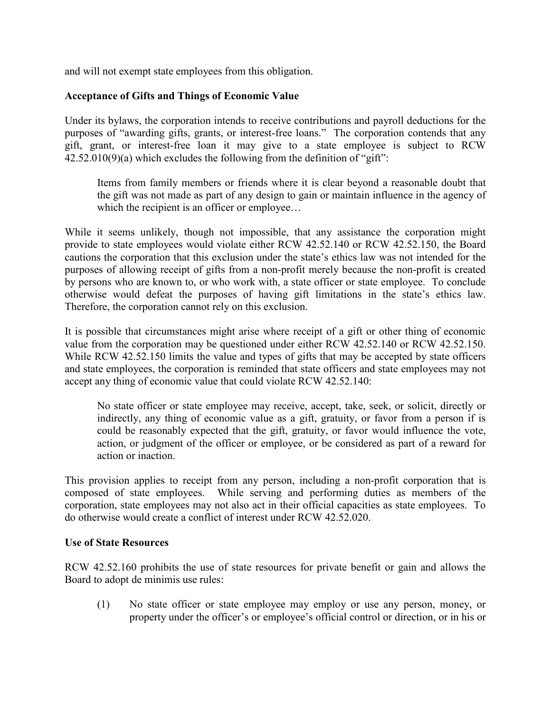and will not exempt state employees from this obligation.

# **Acceptance of Gifts and Things of Economic Value**

Under its bylaws, the corporation intends to receive contributions and payroll deductions for the purposes of "awarding gifts, grants, or interest-free loans." The corporation contends that any gift, grant, or interest-free loan it may give to a state employee is subject to RCW  $42.52.010(9)(a)$  which excludes the following from the definition of "gift":

Items from family members or friends where it is clear beyond a reasonable doubt that the gift was not made as part of any design to gain or maintain influence in the agency of which the recipient is an officer or employee...

While it seems unlikely, though not impossible, that any assistance the corporation might provide to state employees would violate either RCW 42.52.140 or RCW 42.52.150, the Board cautions the corporation that this exclusion under the state's ethics law was not intended for the purposes of allowing receipt of gifts from a non-profit merely because the non-profit is created by persons who are known to, or who work with, a state officer or state employee. To conclude otherwise would defeat the purposes of having gift limitations in the state's ethics law. Therefore, the corporation cannot rely on this exclusion.

It is possible that circumstances might arise where receipt of a gift or other thing of economic value from the corporation may be questioned under either RCW 42.52.140 or RCW 42.52.150. While RCW 42.52.150 limits the value and types of gifts that may be accepted by state officers and state employees, the corporation is reminded that state officers and state employees may not accept any thing of economic value that could violate RCW 42.52.140:

No state officer or state employee may receive, accept, take, seek, or solicit, directly or indirectly, any thing of economic value as a gift, gratuity, or favor from a person if is could be reasonably expected that the gift, gratuity, or favor would influence the vote, action, or judgment of the officer or employee, or be considered as part of a reward for action or inaction.

This provision applies to receipt from any person, including a non-profit corporation that is composed of state employees. While serving and performing duties as members of the corporation, state employees may not also act in their official capacities as state employees. To do otherwise would create a conflict of interest under RCW 42.52.020.

#### **Use of State Resources**

RCW 42.52.160 prohibits the use of state resources for private benefit or gain and allows the Board to adopt de minimis use rules:

(1) No state officer or state employee may employ or use any person, money, or property under the officer's or employee's official control or direction, or in his or